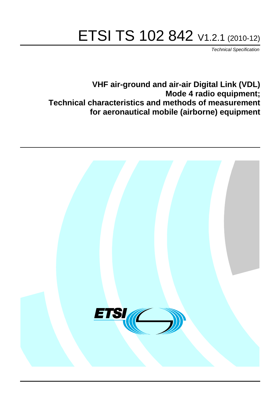# ETSI TS 102 842 V1.2.1 (2010-12)

*Technical Specification*

**VHF air-ground and air-air Digital Link (VDL) Mode 4 radio equipment; Technical characteristics and methods of measurement for aeronautical mobile (airborne) equipment**

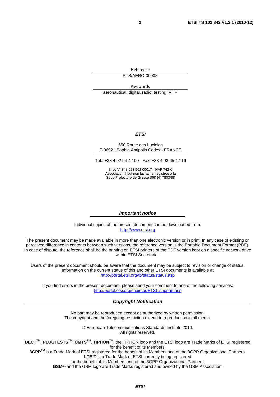Reference RTS/AERO-00008

Keywords aeronautical, digital, radio, testing, VHF

#### *ETSI*

#### 650 Route des Lucioles F-06921 Sophia Antipolis Cedex - FRANCE

Tel.: +33 4 92 94 42 00 Fax: +33 4 93 65 47 16

Siret N° 348 623 562 00017 - NAF 742 C Association à but non lucratif enregistrée à la Sous-Préfecture de Grasse (06) N° 7803/88

#### *Important notice*

Individual copies of the present document can be downloaded from: [http://www.etsi.org](http://www.etsi.org/)

The present document may be made available in more than one electronic version or in print. In any case of existing or perceived difference in contents between such versions, the reference version is the Portable Document Format (PDF). In case of dispute, the reference shall be the printing on ETSI printers of the PDF version kept on a specific network drive within ETSI Secretariat.

Users of the present document should be aware that the document may be subject to revision or change of status. Information on the current status of this and other ETSI documents is available at <http://portal.etsi.org/tb/status/status.asp>

If you find errors in the present document, please send your comment to one of the following services: [http://portal.etsi.org/chaircor/ETSI\\_support.asp](http://portal.etsi.org/chaircor/ETSI_support.asp)

#### *Copyright Notification*

No part may be reproduced except as authorized by written permission. The copyright and the foregoing restriction extend to reproduction in all media.

> © European Telecommunications Standards Institute 2010. All rights reserved.

**DECT**TM, **PLUGTESTS**TM, **UMTS**TM, **TIPHON**TM, the TIPHON logo and the ETSI logo are Trade Marks of ETSI registered for the benefit of its Members.

**3GPP**TM is a Trade Mark of ETSI registered for the benefit of its Members and of the 3GPP Organizational Partners. **LTE**™ is a Trade Mark of ETSI currently being registered

for the benefit of its Members and of the 3GPP Organizational Partners.

**GSM**® and the GSM logo are Trade Marks registered and owned by the GSM Association.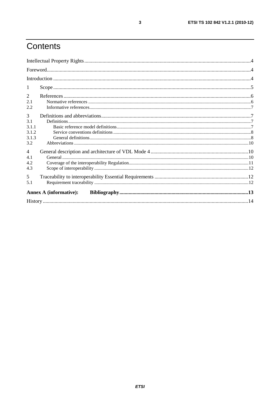## Contents

| -1                            |  |
|-------------------------------|--|
| 2                             |  |
| 2.1                           |  |
| 2.2                           |  |
| 3                             |  |
| 3.1                           |  |
| 3.1.1                         |  |
| 3.1.2                         |  |
| 3.1.3                         |  |
| 3.2                           |  |
| $\overline{4}$                |  |
| 4.1                           |  |
| 4.2                           |  |
| 4.3                           |  |
| $5\overline{)}$               |  |
| 5.1                           |  |
| <b>Annex A (informative):</b> |  |
|                               |  |

 $\overline{\mathbf{3}}$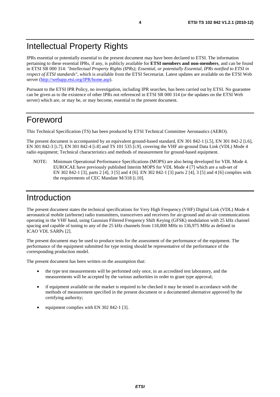## Intellectual Property Rights

IPRs essential or potentially essential to the present document may have been declared to ETSI. The information pertaining to these essential IPRs, if any, is publicly available for **ETSI members and non-members**, and can be found in ETSI SR 000 314: *"Intellectual Property Rights (IPRs); Essential, or potentially Essential, IPRs notified to ETSI in respect of ETSI standards"*, which is available from the ETSI Secretariat. Latest updates are available on the ETSI Web server ([http://webapp.etsi.org/IPR/home.asp\)](http://webapp.etsi.org/IPR/home.asp).

Pursuant to the ETSI IPR Policy, no investigation, including IPR searches, has been carried out by ETSI. No guarantee can be given as to the existence of other IPRs not referenced in ETSI SR 000 314 (or the updates on the ETSI Web server) which are, or may be, or may become, essential to the present document.

### Foreword

This Technical Specification (TS) has been produced by ETSI Technical Committee Aeronautics (AERO).

The present document is accompanied by an equivalent ground-based standard, EN 301 842-1 [i.5], EN 301 842-2 [i.6], EN 301 842-3 [i.7], EN 301 842-4 [i.8] and TS 101 535 [i.9], covering the VHF air-ground Data Link (VDL) Mode 4 radio equipment; Technical characteristics and methods of measurement for ground-based equipment.

NOTE: Minimum Operational Performance Specifications (MOPS) are also being developed for VDL Mode 4. EUROCAE have previously published Interim MOPS for VDL Mode 4 [7] which are a sub-set of EN 302 842-1 [3], parts 2 [4], 3 [5] and 4 [6]. EN 302 842-1 [3] parts 2 [4], 3 [5] and 4 [6] complies with the requirements of CEC Mandate M/318 [i.10].

### Introduction

The present document states the technical specifications for Very High Frequency (VHF) Digital Link (VDL) Mode 4 aeronautical mobile (airborne) radio transmitters, transceivers and receivers for air-ground and air-air communications operating in the VHF band, using Gaussian Filtered Frequency Shift Keying (GFSK) modulation with 25 kHz channel spacing and capable of tuning to any of the 25 kHz channels from 118,000 MHz to 136,975 MHz as defined in ICAO VDL SARPs [2].

The present document may be used to produce tests for the assessment of the performance of the equipment. The performance of the equipment submitted for type testing should be representative of the performance of the corresponding production model.

The present document has been written on the assumption that:

- the type test measurements will be performed only once, in an accredited test laboratory, and the measurements will be accepted by the various authorities in order to grant type approval;
- if equipment available on the market is required to be checked it may be tested in accordance with the methods of measurement specified in the present document or a documented alternative approved by the certifying authority;
- equipment complies with EN 302 842-1 [3].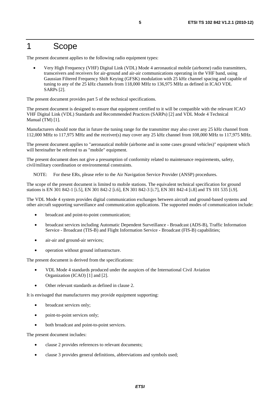### 1 Scope

The present document applies to the following radio equipment types:

• Very High Frequency (VHF) Digital Link (VDL) Mode 4 aeronautical mobile (airborne) radio transmitters, transceivers and receivers for air-ground and air-air communications operating in the VHF band, using Gaussian Filtered Frequency Shift Keying (GFSK) modulation with 25 kHz channel spacing and capable of tuning to any of the 25 kHz channels from 118,000 MHz to 136,975 MHz as defined in ICAO VDL SARPs [2].

The present document provides part 5 of the technical specifications.

The present document is designed to ensure that equipment certified to it will be compatible with the relevant ICAO VHF Digital Link (VDL) Standards and Recommended Practices (SARPs) [2] and VDL Mode 4 Technical Manual (TM) [1].

Manufacturers should note that in future the tuning range for the transmitter may also cover any 25 kHz channel from 112,000 MHz to 117,975 MHz and the receiver(s) may cover any 25 kHz channel from 108,000 MHz to 117,975 MHz.

The present document applies to "aeronautical mobile (airborne and in some cases ground vehicles)" equipment which will hereinafter be referred to as "mobile" equipment.

The present document does not give a presumption of conformity related to maintenance requirements, safety, civil/military coordination or environmental constraints.

NOTE: For these ERs, please refer to the Air Navigation Service Provider (ANSP) procedures.

The scope of the present document is limited to mobile stations. The equivalent technical specification for ground stations is EN 301 842-1 [i.5], EN 301 842-2 [i.6], EN 301 842-3 [i.7], EN 301 842-4 [i.8] and TS 101 535 [i.9].

The VDL Mode 4 system provides digital communication exchanges between aircraft and ground-based systems and other aircraft supporting surveillance and communication applications. The supported modes of communication include:

- broadcast and point-to-point communication;
- broadcast services including Automatic Dependent Surveillance Broadcast (ADS-B), Traffic Information Service - Broadcast (TIS-B) and Flight Information Service - Broadcast (FIS-B) capabilities;
- air-air and ground-air services;
- operation without ground infrastructure.

The present document is derived from the specifications:

- VDL Mode 4 standards produced under the auspices of the International Civil Aviation Organization (ICAO) [1] and [2].
- Other relevant standards as defined in clause 2.

It is envisaged that manufacturers may provide equipment supporting:

- broadcast services only;
- point-to-point services only;
- both broadcast and point-to-point services.

The present document includes:

- clause 2 provides references to relevant documents;
- clause 3 provides general definitions, abbreviations and symbols used;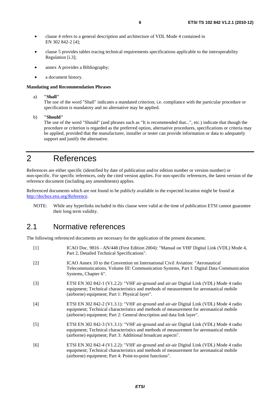- clause 4 refers to a general description and architecture of VDL Mode 4 contained in EN 302 842-2 [4];
- clause 5 provides tables tracing technical requirements specifications applicable to the interoperability Regulation [i.3];
- annex A provides a Bibliography;
- a document history.

#### **Mandating and Recommendation Phrases**

a) **"Shall"**

The use of the word "Shall" indicates a mandated criterion; i.e. compliance with the particular procedure or specification is mandatory and no alternative may be applied.

b) **"Should"**

The use of the word "Should" (and phrases such as "It is recommended that...", etc.) indicate that though the procedure or criterion is regarded as the preferred option, alternative procedures, specifications or criteria may be applied, provided that the manufacturer, installer or tester can provide information or data to adequately support and justify the alternative.

## 2 References

References are either specific (identified by date of publication and/or edition number or version number) or non-specific. For specific references, only the cited version applies. For non-specific references, the latest version of the reference document (including any amendments) applies.

Referenced documents which are not found to be publicly available in the expected location might be found at [http://docbox.etsi.org/Reference.](http://docbox.etsi.org/Reference)

NOTE: While any hyperlinks included in this clause were valid at the time of publication ETSI cannot guarantee their long term validity.

#### 2.1 Normative references

The following referenced documents are necessary for the application of the present document.

| $[1]$             | ICAO Doc. 9816 - AN/448 (First Edition 2004): "Manual on VHF Digital Link (VDL) Mode 4,<br>Part 2, Detailed Technical Specifications".                                                                                                                        |
|-------------------|---------------------------------------------------------------------------------------------------------------------------------------------------------------------------------------------------------------------------------------------------------------|
| $\lceil 2 \rceil$ | ICAO Annex 10 to the Convention on International Civil Aviation: "Aeronautical<br>Telecommunications, Volume III: Communication Systems, Part I: Digital Data Communication<br>Systems, Chapter 6".                                                           |
| $\lceil 3 \rceil$ | ETSI EN 302 842-1 (V1.2.2): "VHF air-ground and air-air Digital Link (VDL) Mode 4 radio<br>equipment; Technical characteristics and methods of measurement for aeronautical mobile<br>(airborne) equipment; Part 1: Physical layer".                          |
| [4]               | ETSI EN 302 842-2 (V1.3.1): "VHF air-ground and air-air Digital Link (VDL) Mode 4 radio<br>equipment; Technical characteristics and methods of measurement for aeronautical mobile<br>(airborne) equipment; Part 2: General description and data link layer". |
| $\lceil 5 \rceil$ | ETSI EN 302 842-3 (V1.3.1): "VHF air-ground and air-air Digital Link (VDL) Mode 4 radio<br>equipment; Technical characteristics and methods of measurement for aeronautical mobile<br>(airborne) equipment; Part 3: Additional broadcast aspects".            |
| [6]               | ETSI EN 302 842-4 (V1.2.2): "VHF air-ground and air-air Digital Link (VDL) Mode 4 radio<br>equipment; Technical characteristics and methods of measurement for aeronautical mobile<br>(airborne) equipment; Part 4: Point-to-point functions".                |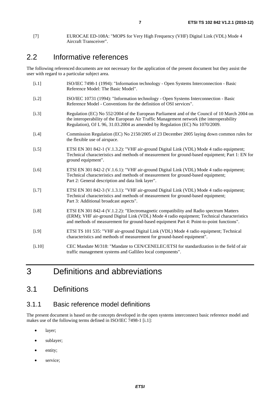### 2.2 Informative references

The following referenced documents are not necessary for the application of the present document but they assist the user with regard to a particular subject area.

| [i.1]   | ISO/IEC 7498-1 (1994): "Information technology - Open Systems Interconnection - Basic<br>Reference Model: The Basic Model".                                                                                                                                                      |
|---------|----------------------------------------------------------------------------------------------------------------------------------------------------------------------------------------------------------------------------------------------------------------------------------|
| $[1.2]$ | ISO/IEC 10731 (1994): "Information technology - Open Systems Interconnection - Basic<br>Reference Model - Conventions for the definition of OSI services".                                                                                                                       |
| $[i.3]$ | Regulation (EC) No 552/2004 of the European Parliament and of the Council of 10 March 2004 on<br>the interoperability of the European Air Traffic Management network (the interoperability<br>Regulation), OJ L 96, 31.03.2004 as amended by Regulation (EC) No 1070/2009.       |
| $[1.4]$ | Commission Regulation (EC) No 2150/2005 of 23 December 2005 laying down common rules for<br>the flexible use of airspace.                                                                                                                                                        |
| $[1.5]$ | ETSI EN 301 842-1 (V.1.3.2): "VHF air-ground Digital Link (VDL) Mode 4 radio equipment;<br>Technical characteristics and methods of measurement for ground-based equipment; Part 1: EN for<br>ground equipment".                                                                 |
| $[1.6]$ | ETSI EN 301 842-2 (V.1.6.1): "VHF air-ground Digital Link (VDL) Mode 4 radio equipment;<br>Technical characteristics and methods of measurement for ground-based equipment;<br>Part 2: General description and data link layer".                                                 |
| $[1.7]$ | ETSI EN 301 842-3 (V.1.3.1): "VHF air-ground Digital Link (VDL) Mode 4 radio equipment;<br>Technical characteristics and methods of measurement for ground-based equipment;<br>Part 3: Additional broadcast aspects".                                                            |
| [i.8]   | ETSI EN 301 842-4 (V.1.2.2): "Electromagnetic compatibility and Radio spectrum Matters<br>(ERM); VHF air-ground Digital Link (VDL) Mode 4 radio equipment; Technical characteristics<br>and methods of measurement for ground-based equipment Part 4: Point-to-point functions". |
| [i.9]   | ETSI TS 101 535: "VHF air-ground Digital Link (VDL) Mode 4 radio equipment; Technical<br>characteristics and methods of measurement for ground-based equipment".                                                                                                                 |
| [i.10]  | CEC Mandate M/318: "Mandate to CEN/CENELEC/ETSI for standardization in the field of air<br>traffic management systems and Gallileo local components".                                                                                                                            |

## 3 Definitions and abbreviations

### 3.1 Definitions

#### 3.1.1 Basic reference model definitions

The present document is based on the concepts developed in the open systems interconnect basic reference model and makes use of the following terms defined in ISO/IEC 7498-1 [i.1]:

- layer;
- sublayer;
- entity;
- service;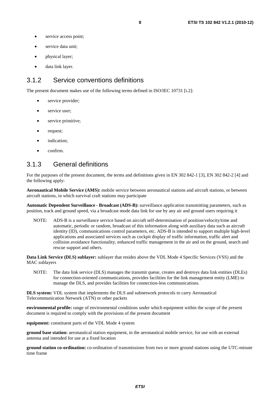- service access point;
- service data unit:
- physical layer;
- data link layer.

#### 3.1.2 Service conventions definitions

The present document makes use of the following terms defined in ISO/IEC 10731 [i.2]:

- service provider;
- service user;
- service primitive;
- request;
- indication;
- confirm.

#### 3.1.3 General definitions

For the purposes of the present document, the terms and definitions given in EN 302 842-1 [3], EN 302 842-2 [4] and the following apply:

**Aeronautical Mobile Service (AMS):** mobile service between aeronautical stations and aircraft stations, or between aircraft stations, in which survival craft stations may participate

**Automatic Dependent Surveillance - Broadcast (ADS-B):** surveillance application transmitting parameters, such as position, track and ground speed, via a broadcast mode data link for use by any air and ground users requiring it

NOTE: ADS-B is a surveillance service based on aircraft self-determination of position/velocity/time and automatic, periodic or random, broadcast of this information along with auxiliary data such as aircraft identity (ID), communications control parameters, etc. ADS-B is intended to support multiple high-level applications and associated services such as cockpit display of traffic information, traffic alert and collision avoidance functionality, enhanced traffic management in the air and on the ground, search and rescue support and others.

**Data Link Service (DLS) sublayer:** sublayer that resides above the VDL Mode 4 Specific Services (VSS) and the MAC sublayers

NOTE: The data link service (DLS) manages the transmit queue, creates and destroys data link entities (DLEs) for connection-oriented communications, provides facilities for the link management entity (LME) to manage the DLS, and provides facilities for connection-less communications.

**DLS system:** VDL system that implements the DLS and subnetwork protocols to carry Aeronautical Telecommunication Network (ATN) or other packets

**environmental profile:** range of environmental conditions under which equipment within the scope of the present document is required to comply with the provisions of the present document

**equipment:** constituent parts of the VDL Mode 4 system

**ground base station:** aeronautical station equipment, in the aeronautical mobile service, for use with an external antenna and intended for use at a fixed location

**ground station co-ordination:** co-ordination of transmissions from two or more ground stations using the UTC-minute time frame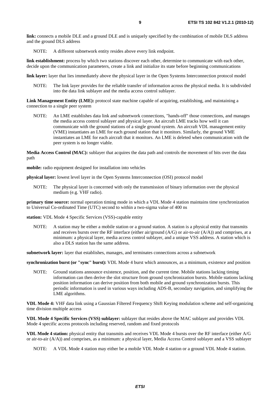**link:** connects a mobile DLE and a ground DLE and is uniquely specified by the combination of mobile DLS address and the ground DLS address

NOTE: A different subnetwork entity resides above every link endpoint.

**link establishment:** process by which two stations discover each other, determine to communicate with each other, decide upon the communication parameters, create a link and initialize its state before beginning communications

**link layer:** layer that lies immediately above the physical layer in the Open Systems Interconnection protocol model

NOTE: The link layer provides for the reliable transfer of information across the physical media. It is subdivided into the data link sublayer and the media access control sublayer.

**Link Management Entity (LME):** protocol state machine capable of acquiring, establishing, and maintaining a connection to a single peer system

NOTE: An LME establishes data link and subnetwork connections, "hands-off" those connections, and manages the media access control sublayer and physical layer. An aircraft LME tracks how well it can communicate with the ground stations of a single ground system. An aircraft VDL management entity (VME) instantiates an LME for each ground station that it monitors. Similarly, the ground VME instantiates an LME for each aircraft that it monitors. An LME is deleted when communication with the peer system is no longer viable.

**Media Access Control (MAC):** sublayer that acquires the data path and controls the movement of bits over the data path

**mobile:** radio equipment designed for installation into vehicles

**physical layer:** lowest level layer in the Open Systems Interconnection (OSI) protocol model

NOTE: The physical layer is concerned with only the transmission of binary information over the physical medium (e.g. VHF radio).

**primary time source:** normal operation timing mode in which a VDL Mode 4 station maintains time synchronization to Universal Co-ordinated Time (UTC) second to within a two-sigma value of 400 ns

**station:** VDL Mode 4 Specific Services (VSS)-capable entity

NOTE: A station may be either a mobile station or a ground station. A station is a physical entity that transmits and receives bursts over the RF interface (either air/ground (A/G) or air-to-air (A/A)) and comprises, at a minimum: a physical layer, media access control sublayer, and a unique VSS address. A station which is also a DLS station has the same address.

**subnetwork layer:** layer that establishes, manages, and terminates connections across a subnetwork

**synchronization burst (or "sync" burst):** VDL Mode 4 burst which announces, as a minimum, existence and position

NOTE: Ground stations announce existence, position, and the current time. Mobile stations lacking timing information can then derive the slot structure from ground synchronization bursts. Mobile stations lacking position information can derive position from both mobile and ground synchronization bursts. This periodic information is used in various ways including ADS-B, secondary navigation, and simplifying the LME algorithms.

**VDL Mode 4:** VHF data link using a Gaussian Filtered Frequency Shift Keying modulation scheme and self-organizing time division multiple access

**VDL Mode 4 Specific Services (VSS) sublayer:** sublayer that resides above the MAC sublayer and provides VDL Mode 4 specific access protocols including reserved, random and fixed protocols

**VDL Mode 4 station:** physical entity that transmits and receives VDL Mode 4 bursts over the RF interface (either A/G or air-to-air (A/A)) and comprises, as a minimum: a physical layer, Media Access Control sublayer and a VSS sublayer

NOTE: A VDL Mode 4 station may either be a mobile VDL Mode 4 station or a ground VDL Mode 4 station.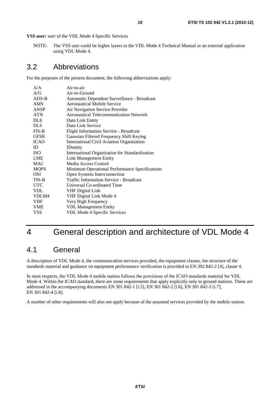**VSS user:** user of the VDL Mode 4 Specific Services

NOTE: The VSS user could be higher layers in the VDL Mode 4 Technical Manual or an external application using VDL Mode 4.

#### 3.2 Abbreviations

For the purposes of the present document, the following abbreviations apply:

| A/A         | Air-to-air                                     |
|-------------|------------------------------------------------|
| A/G         | Air-to-Ground                                  |
| $ADS-B$     | Automatic Dependent Surveillance - Broadcast   |
| AMS         | Aeronautical Mobile Service                    |
| <b>ANSP</b> | Air Navigation Service Provider                |
| <b>ATN</b>  | <b>Aeronautical Telecommunication Network</b>  |
| <b>DLE</b>  | Data Link Entity                               |
| <b>DLS</b>  | Data Link Service                              |
| $FIS-B$     | <b>Flight Information Service - Broadcast</b>  |
| <b>GFSK</b> | Gaussian Filtered Frequency Shift Keying       |
| <b>ICAO</b> | International Civil Aviation Organization      |
| ID          | <b>IDentity</b>                                |
| <b>ISO</b>  | International Organization for Standardization |
| <b>LME</b>  | <b>Link Management Entity</b>                  |
| <b>MAC</b>  | Media Access Control                           |
| <b>MOPS</b> | Minimum Operational Performance Specifications |
| OSI         | Open Systems Interconnection                   |
| TIS-B       | <b>Traffic Information Service - Broadcast</b> |
| <b>UTC</b>  | Universal Co-ordinated Time                    |
| <b>VDL</b>  | <b>VHF Digital Link</b>                        |
| VDLM4       | VHF Digital Link Mode 4                        |
| <b>VHF</b>  | Very High Frequency                            |
| <b>VME</b>  | <b>VDL Management Entity</b>                   |
| <b>VSS</b>  | VDL Mode 4 Specific Services                   |
|             |                                                |

## 4 General description and architecture of VDL Mode 4

#### 4.1 General

A description of VDL Mode 4, the communication services provided, the equipment classes, the structure of the standards material and guidance on equipment performance verification is provided in EN 302 842-2 [4], clause 4.

In most respects, the VDL Mode 4 mobile station follows the provisions of the ICAO standards material for VDL Mode 4. Within the ICAO standard, there are some requirements that apply explicitly only to ground stations. These are addressed in the accompanying documents EN 301 842-1 [i.5], EN 301 842-2 [i.6], EN 301 842-3 [i.7], EN 301 842-4 [i.8].

A number of other requirements will also not apply because of the assumed services provided by the mobile station.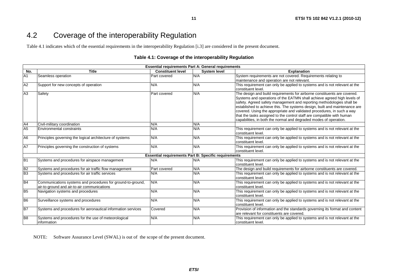### 4.2 Coverage of the interoperability Regulation

Table 4.1 indicates which of the essential requirements in the interoperability Regulation [i.3] are considered in the present document.

#### **Table 4.1: Coverage of the interoperability Regulation**

**11**

| <b>Essential requirements Part A: General requirements</b> |                                                                                                            |                                                             |                     |                                                                                                                                                                                                                                                                                                                                                                                                                                                                                                                                     |
|------------------------------------------------------------|------------------------------------------------------------------------------------------------------------|-------------------------------------------------------------|---------------------|-------------------------------------------------------------------------------------------------------------------------------------------------------------------------------------------------------------------------------------------------------------------------------------------------------------------------------------------------------------------------------------------------------------------------------------------------------------------------------------------------------------------------------------|
| No.                                                        | <b>Title</b>                                                                                               | <b>Constituent level</b>                                    | <b>System level</b> | <b>Explanation</b>                                                                                                                                                                                                                                                                                                                                                                                                                                                                                                                  |
| A <sub>1</sub>                                             | Seamless operation                                                                                         | <b>Part covered</b>                                         | N/A                 | System requirements are not covered. Requirements relating to                                                                                                                                                                                                                                                                                                                                                                                                                                                                       |
|                                                            |                                                                                                            |                                                             |                     | maintenance and operation are not relevant.                                                                                                                                                                                                                                                                                                                                                                                                                                                                                         |
| A2                                                         | Support for new concepts of operation                                                                      | N/A                                                         | N/A                 | This requirement can only be applied to systems and is not relevant at the<br>constituent level.                                                                                                                                                                                                                                                                                                                                                                                                                                    |
| A3                                                         | Safety                                                                                                     | <b>Part covered</b>                                         | N/A                 | The design and build requirements for airborne constituents are covered.<br>Systems and operations of the EATMN shall achieve agreed high levels of<br>safety. Agreed safety management and reporting methodologies shall be<br>established to achieve this. The systems design, built and maintenance are<br>covered. Using the appropriate and validated procedures, in such a way<br>that the tasks assigned to the control staff are compatible with human<br>capabilities, in both the normal and degraded modes of operation. |
| A4                                                         | Civil-military coordination                                                                                | N/A                                                         | N/A                 |                                                                                                                                                                                                                                                                                                                                                                                                                                                                                                                                     |
| A <sub>5</sub>                                             | <b>Environmental constraints</b>                                                                           | N/A                                                         | N/A                 | This requirement can only be applied to systems and is not relevant at the<br>constituent level.                                                                                                                                                                                                                                                                                                                                                                                                                                    |
| A <sub>6</sub>                                             | Principles governing the logical architecture of systems                                                   | N/A                                                         | N/A                 | This requirement can only be applied to systems and is not relevant at the<br>constituent level.                                                                                                                                                                                                                                                                                                                                                                                                                                    |
| <b>A7</b>                                                  | Principles governing the construction of systems                                                           | N/A                                                         | N/A                 | This requirement can only be applied to systems and is not relevant at the<br>constituent level.                                                                                                                                                                                                                                                                                                                                                                                                                                    |
|                                                            |                                                                                                            | <b>Essential requirements Part B: Specific requirements</b> |                     |                                                                                                                                                                                                                                                                                                                                                                                                                                                                                                                                     |
| B1                                                         | Systems and procedures for airspace management                                                             | N/A                                                         | N/A                 | This requirement can only be applied to systems and is not relevant at the<br>constituent level.                                                                                                                                                                                                                                                                                                                                                                                                                                    |
| B <sub>2</sub>                                             | Systems and procedures for air traffic flow management                                                     | Part covered                                                | N/A                 | The design and build requirements for airborne constituents are covered.                                                                                                                                                                                                                                                                                                                                                                                                                                                            |
| B <sub>3</sub>                                             | Systems and procedures for air traffic services                                                            | N/A                                                         | N/A                 | This requirement can only be applied to systems and is not relevant at the<br>constituent level.                                                                                                                                                                                                                                                                                                                                                                                                                                    |
| <b>B4</b>                                                  | Communications systems and procedures for ground-to-ground,<br>air-to-ground and air-to-air communications | N/A                                                         | N/A                 | This requirement can only be applied to systems and is not relevant at the<br>constituent level.                                                                                                                                                                                                                                                                                                                                                                                                                                    |
| B <sub>5</sub>                                             | Navigation systems and procedures                                                                          | N/A                                                         | N/A                 | This requirement can only be applied to systems and is not relevant at the<br>constituent level.                                                                                                                                                                                                                                                                                                                                                                                                                                    |
| B <sub>6</sub>                                             | Surveillance systems and procedures                                                                        | N/A                                                         | N/A                 | This requirement can only be applied to systems and is not relevant at the<br>constituent level.                                                                                                                                                                                                                                                                                                                                                                                                                                    |
| $\overline{B7}$                                            | Systems and procedures for aeronautical information services                                               | Covered                                                     | N/A                 | Provision of information and the standards governing its format and content<br>are relevant for constituents are covered.                                                                                                                                                                                                                                                                                                                                                                                                           |
| B <sub>8</sub>                                             | Systems and procedures for the use of meteorological<br>information                                        | N/A                                                         | N/A                 | This requirement can only be applied to systems and is not relevant at the<br>constituent level.                                                                                                                                                                                                                                                                                                                                                                                                                                    |

NOTE: Software Assurance Level (SWAL) is out of the scope of the present document.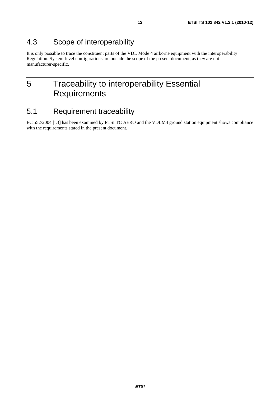### 4.3 Scope of interoperability

It is only possible to trace the constituent parts of the VDL Mode 4 airborne equipment with the interoperability Regulation. System-level configurations are outside the scope of the present document, as they are not manufacturer-specific.

## 5 Traceability to interoperability Essential **Requirements**

### 5.1 Requirement traceability

EC 552/2004 [i.3] has been examined by ETSI TC AERO and the VDLM4 ground station equipment shows compliance with the requirements stated in the present document.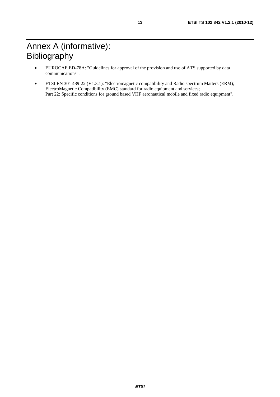## Annex A (informative): Bibliography

- EUROCAE ED-78A: "Guidelines for approval of the provision and use of ATS supported by data communications".
- ETSI EN 301 489-22 (V1.3.1): "Electromagnetic compatibility and Radio spectrum Matters (ERM); ElectroMagnetic Compatibility (EMC) standard for radio equipment and services; Part 22: Specific conditions for ground based VHF aeronautical mobile and fixed radio equipment".